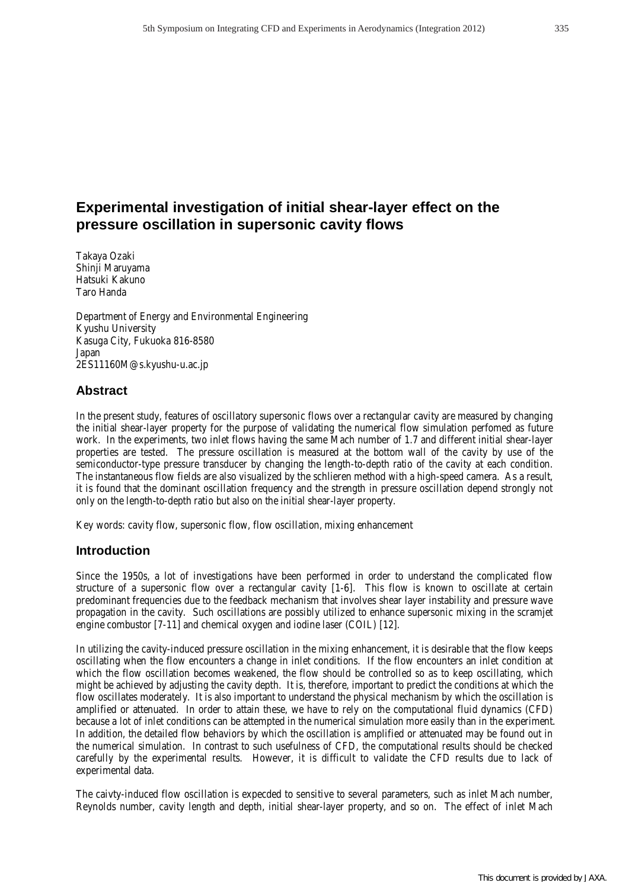# **Experimental investigation of initial shear-layer effect on the pressure oscillation in supersonic cavity flows**

Takaya Ozaki Shinji Maruyama Hatsuki Kakuno Taro Handa

Department of Energy and Environmental Engineering Kyushu University Kasuga City, Fukuoka 816-8580 Japan 2ES11160M@s.kyushu-u.ac.jp

## **Abstract**

In the present study, features of oscillatory supersonic flows over a rectangular cavity are measured by changing the initial shear-layer property for the purpose of validating the numerical flow simulation perfomed as future work. In the experiments, two inlet flows having the same Mach number of 1.7 and different initial shear-layer properties are tested. The pressure oscillation is measured at the bottom wall of the cavity by use of the semiconductor-type pressure transducer by changing the length-to-depth ratio of the cavity at each condition. The instantaneous flow fields are also visualized by the schlieren method with a high-speed camera. As a result, it is found that the dominant oscillation frequency and the strength in pressure oscillation depend strongly not only on the length-to-depth ratio but also on the initial shear-layer property.

Key words: cavity flow, supersonic flow, flow oscillation, mixing enhancement

## **Introduction**

Since the 1950s, a lot of investigations have been performed in order to understand the complicated flow structure of a supersonic flow over a rectangular cavity [1-6]. This flow is known to oscillate at certain predominant frequencies due to the feedback mechanism that involves shear layer instability and pressure wave propagation in the cavity. Such oscillations are possibly utilized to enhance supersonic mixing in the scramjet engine combustor [7-11] and chemical oxygen and iodine laser (COIL) [12].

In utilizing the cavity-induced pressure oscillation in the mixing enhancement, it is desirable that the flow keeps oscillating when the flow encounters a change in inlet conditions. If the flow encounters an inlet condition at which the flow oscillation becomes weakened, the flow should be controlled so as to keep oscillating, which might be achieved by adjusting the cavity depth. It is, therefore, important to predict the conditions at which the flow oscillates moderately. It is also important to understand the physical mechanism by which the oscillation is amplified or attenuated. In order to attain these, we have to rely on the computational fluid dynamics (CFD) because a lot of inlet conditions can be attempted in the numerical simulation more easily than in the experiment. In addition, the detailed flow behaviors by which the oscillation is amplified or attenuated may be found out in the numerical simulation. In contrast to such usefulness of CFD, the computational results should be checked carefully by the experimental results. However, it is difficult to validate the CFD results due to lack of experimental data.

The caivty-induced flow oscillation is expecded to sensitive to several parameters, such as inlet Mach number, Reynolds number, cavity length and depth, initial shear-layer property, and so on. The effect of inlet Mach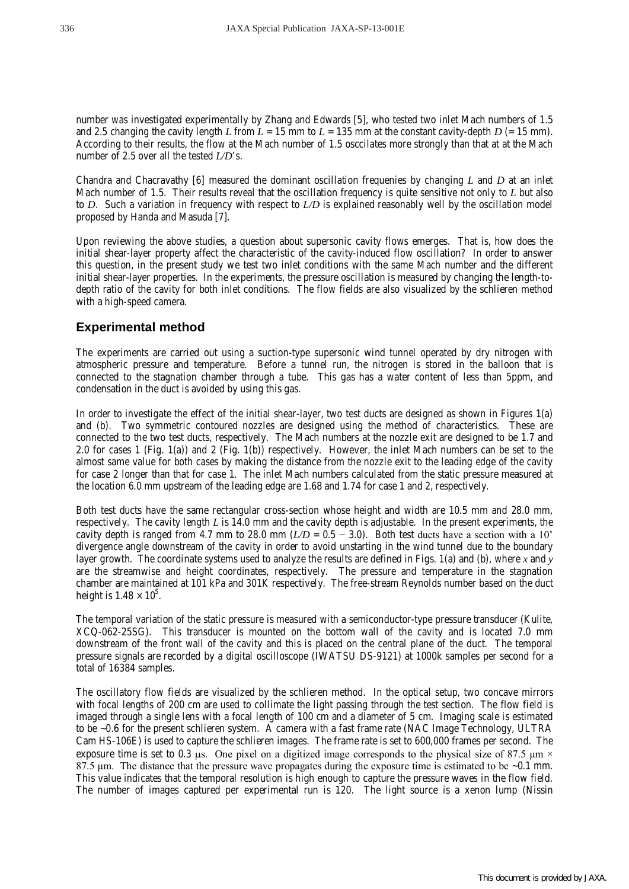number was investigated experimentally by Zhang and Edwards [5], who tested two inlet Mach numbers of 1.5 and 2.5 changing the cavity length *L* from  $L = 15$  mm to  $L = 135$  mm at the constant cavity-depth  $D = 15$  mm). According to their results, the flow at the Mach number of 1.5 osccilates more strongly than that at at the Mach number of 2.5 over all the tested *L/D*'s.

Chandra and Chacravathy [6] measured the dominant oscillation frequenies by changing *L* and *D* at an inlet Mach number of 1.5. Their results reveal that the oscillation frequency is quite sensitive not only to *L* but also to *D*. Such a variation in frequency with respect to *L/D* is explained reasonably well by the oscillation model proposed by Handa and Masuda [7].

Upon reviewing the above studies, a question about supersonic cavity flows emerges. That is, how does the initial shear-layer property affect the characteristic of the cavity-induced flow oscillation? In order to answer this question, in the present study we test two inlet conditions with the same Mach number and the different initial shear-layer properties. In the experiments, the pressure oscillation is measured by changing the length-todepth ratio of the cavity for both inlet conditions. The flow fields are also visualized by the schlieren method with a high-speed camera.

## **Experimental method**

The experiments are carried out using a suction-type supersonic wind tunnel operated by dry nitrogen with atmospheric pressure and temperature. Before a tunnel run, the nitrogen is stored in the balloon that is connected to the stagnation chamber through a tube. This gas has a water content of less than 5ppm, and condensation in the duct is avoided by using this gas.

In order to investigate the effect of the initial shear-layer, two test ducts are designed as shown in Figures 1(a) and (b). Two symmetric contoured nozzles are designed using the method of characteristics. These are connected to the two test ducts, respectively. The Mach numbers at the nozzle exit are designed to be 1.7 and 2.0 for cases 1 (Fig. 1(a)) and 2 (Fig. 1(b)) respectively. However, the inlet Mach numbers can be set to the almost same value for both cases by making the distance from the nozzle exit to the leading edge of the cavity for case 2 longer than that for case 1. The inlet Mach numbers calculated from the static pressure measured at the location 6.0 mm upstream of the leading edge are 1.68 and 1.74 for case 1 and 2, respectively.

Both test ducts have the same rectangular cross-section whose height and width are 10.5 mm and 28.0 mm, respectively. The cavity length *L* is 14.0 mm and the cavity depth is adjustable. In the present experiments, the cavity depth is ranged from 4.7 mm to 28.0 mm ( $L/D = 0.5 - 3.0$ ). Both test ducts have a section with a 10<sup>°</sup> divergence angle downstream of the cavity in order to avoid unstarting in the wind tunnel due to the boundary layer growth. The coordinate systems used to analyze the results are defined in Figs. 1(a) and (b), where *x* and *y* are the streamwise and height coordinates, respectively. The pressure and temperature in the stagnation chamber are maintained at 101 kPa and 301K respectively. The free-stream Reynolds number based on the duct height is  $1.48 \times 10^5$ .

The temporal variation of the static pressure is measured with a semiconductor-type pressure transducer (Kulite, XCQ-062-25SG). This transducer is mounted on the bottom wall of the cavity and is located 7.0 mm downstream of the front wall of the cavity and this is placed on the central plane of the duct. The temporal pressure signals are recorded by a digital oscilloscope (IWATSU DS-9121) at 1000k samples per second for a total of 16384 samples.

The oscillatory flow fields are visualized by the schlieren method. In the optical setup, two concave mirrors with focal lengths of 200 cm are used to collimate the light passing through the test section. The flow field is imaged through a single lens with a focal length of 100 cm and a diameter of 5 cm. Imaging scale is estimated to be ~0.6 for the present schlieren system. A camera with a fast frame rate (NAC Image Technology, ULTRA Cam HS-106E) is used to capture the schlieren images. The frame rate is set to 600,000 frames per second. The exposure time is set to 0.3  $\mu$ s. One pixel on a digitized image corresponds to the physical size of 87.5  $\mu$ m  $\times$ 87.5 μm. The distance that the pressure wave propagates during the exposure time is estimated to be  $\sim 0.1$  mm. This value indicates that the temporal resolution is high enough to capture the pressure waves in the flow field. The number of images captured per experimental run is 120. The light source is a xenon lump (Nissin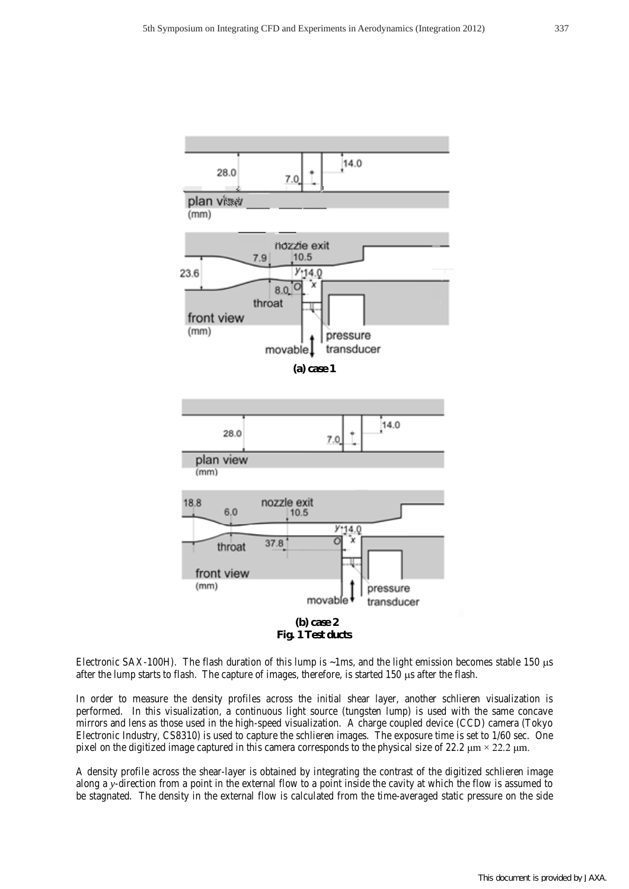

**Fig. 1 Test ducts**

Electronic SAX-100H). The flash duration of this lump is  $\sim$ 1ms, and the light emission becomes stable 150  $\mu$ s after the lump starts to flash. The capture of images, therefore, is started  $150 \mu s$  after the flash.

In order to measure the density profiles across the initial shear layer, another schlieren visualization is performed. In this visualization, a continuous light source (tungsten lump) is used with the same concave mirrors and lens as those used in the high-speed visualization. A charge coupled device (CCD) camera (Tokyo Electronic Industry, CS8310) is used to capture the schlieren images. The exposure time is set to 1/60 sec. One pixel on the digitized image captured in this camera corresponds to the physical size of 22.2  $\mu$ m × 22.2  $\mu$ m.

A density profile across the shear-layer is obtained by integrating the contrast of the digitized schlieren image along a *y*-direction from a point in the external flow to a point inside the cavity at which the flow is assumed to be stagnated. The density in the external flow is calculated from the time-averaged static pressure on the side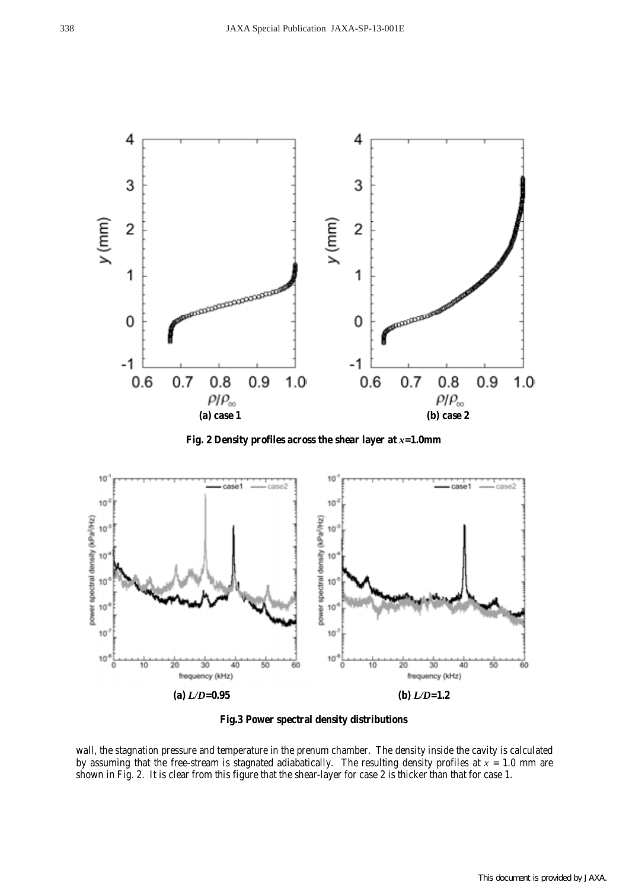

**Fig. 2 Density profiles across the shear layer at** *x***=1.0mm** 



**Fig.3 Power spectral density distributions**

wall, the stagnation pressure and temperature in the prenum chamber. The density inside the cavity is calculated by assuming that the free-stream is stagnated adiabatically. The resulting density profiles at  $x = 1.0$  mm are shown in Fig. 2. It is clear from this figure that the shear-layer for case 2 is thicker than that for case 1.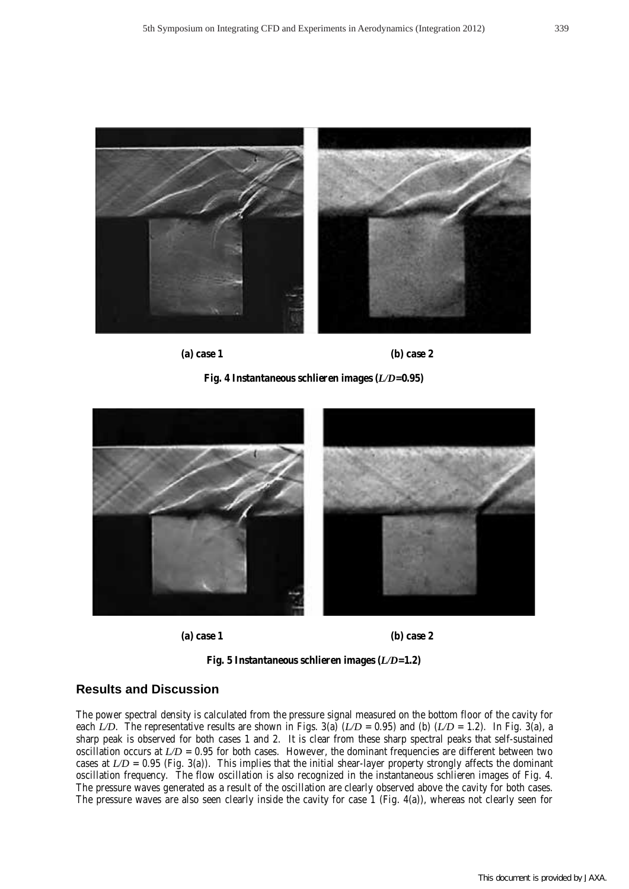

**(a) case 1 (b) case 2**





**(a) case 1 (b) case 2**



#### **Results and Discussion**

The power spectral density is calculated from the pressure signal measured on the bottom floor of the cavity for each *L/D*. The representative results are shown in Figs. 3(a)  $(L/D = 0.95)$  and (b)  $(L/D = 1.2)$ . In Fig. 3(a), a sharp peak is observed for both cases 1 and 2. It is clear from these sharp spectral peaks that self-sustained oscillation occurs at  $L/D = 0.95$  for both cases. However, the dominant frequencies are different between two cases at  $LD = 0.95$  (Fig. 3(a)). This implies that the initial shear-layer property strongly affects the dominant oscillation frequency. The flow oscillation is also recognized in the instantaneous schlieren images of Fig. 4. The pressure waves generated as a result of the oscillation are clearly observed above the cavity for both cases. The pressure waves are also seen clearly inside the cavity for case 1 (Fig. 4(a)), whereas not clearly seen for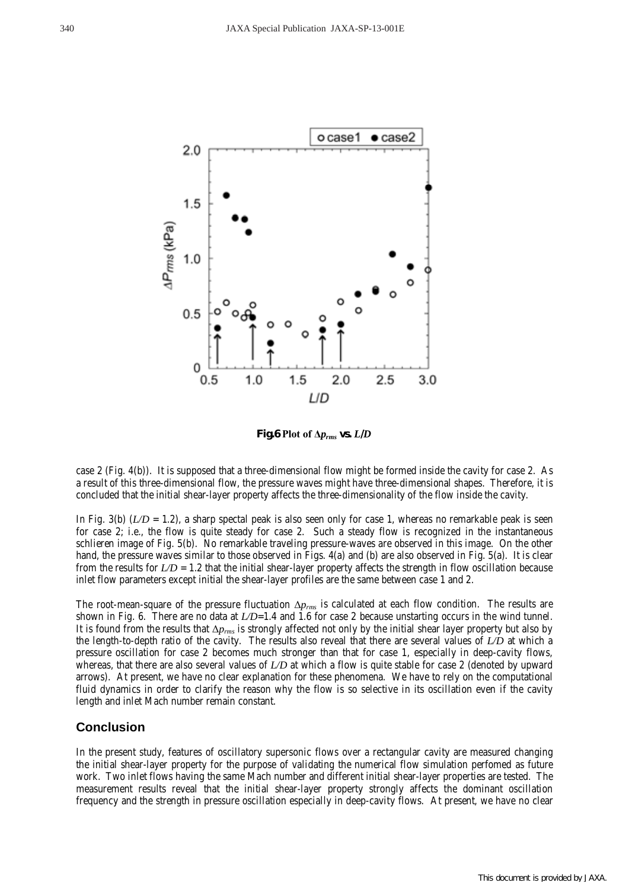

**Fig.6 Plot of Δ***prms* **vs.** *L***/***D*

case 2 (Fig. 4(b)). It is supposed that a three-dimensional flow might be formed inside the cavity for case 2. As a result of this three-dimensional flow, the pressure waves might have three-dimensional shapes. Therefore, it is concluded that the initial shear-layer property affects the three-dimensionality of the flow inside the cavity.

In Fig. 3(b)  $(L/D = 1.2)$ , a sharp spectal peak is also seen only for case 1, whereas no remarkable peak is seen for case 2; i.e., the flow is quite steady for case 2. Such a steady flow is recognized in the instantaneous schlieren image of Fig. 5(b). No remarkable traveling pressure-waves are observed in this image. On the other hand, the pressure waves similar to those observed in Figs. 4(a) and (b) are also observed in Fig. 5(a). It is clear from the results for *L/D* = 1.2 that the initial shear-layer property affects the strength in flow oscillation because inlet flow parameters except initial the shear-layer profiles are the same between case 1 and 2.

The root-mean-square of the pressure fluctuation Δ*prms* is calculated at each flow condition. The results are shown in Fig. 6. There are no data at  $LD=1.4$  and 1.6 for case 2 because unstarting occurs in the wind tunnel. It is found from the results that Δ*prms* is strongly affected not only by the initial shear layer property but also by the length-to-depth ratio of the cavity. The results also reveal that there are several values of *L/D* at which a pressure oscillation for case 2 becomes much stronger than that for case 1, especially in deep-cavity flows, whereas, that there are also several values of *L/D* at which a flow is quite stable for case 2 (denoted by upward arrows). At present, we have no clear explanation for these phenomena. We have to rely on the computational fluid dynamics in order to clarify the reason why the flow is so selective in its oscillation even if the cavity length and inlet Mach number remain constant.

#### **Conclusion**

In the present study, features of oscillatory supersonic flows over a rectangular cavity are measured changing the initial shear-layer property for the purpose of validating the numerical flow simulation perfomed as future work. Two inlet flows having the same Mach number and different initial shear-layer properties are tested. The measurement results reveal that the initial shear-layer property strongly affects the dominant oscillation frequency and the strength in pressure oscillation especially in deep-cavity flows. At present, we have no clear